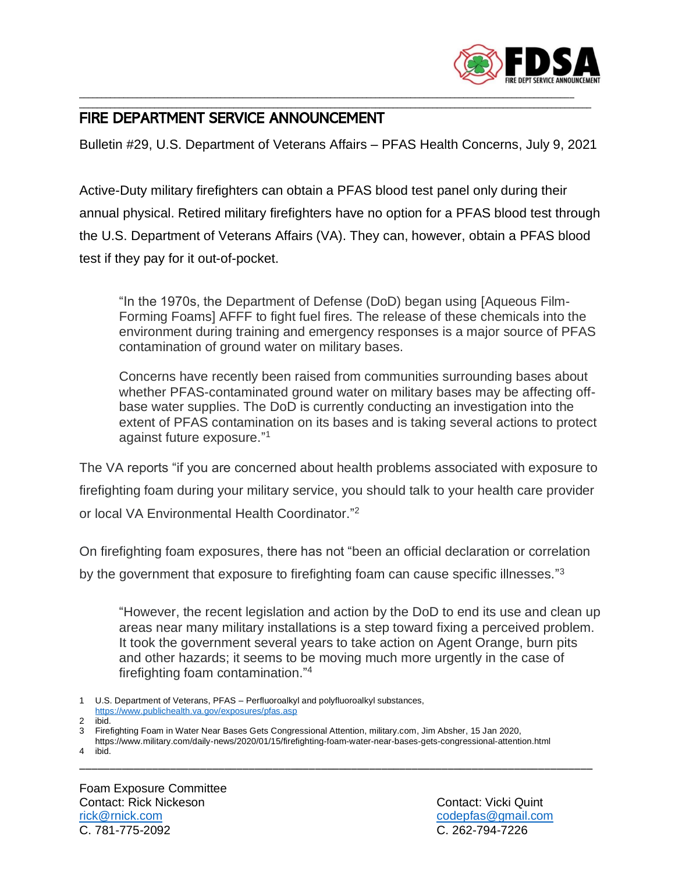

## \_\_\_\_\_\_\_\_\_\_\_\_\_\_\_\_\_\_\_\_\_\_\_\_\_\_\_\_\_\_\_\_\_\_\_\_\_\_\_\_\_\_\_\_\_\_\_\_\_\_\_\_\_\_\_\_\_\_\_\_\_\_\_\_\_\_\_\_\_\_\_\_\_\_\_\_\_\_\_\_\_\_\_\_\_\_\_\_\_\_\_\_\_\_\_\_\_\_\_\_\_\_\_\_\_\_\_\_\_\_\_\_\_\_\_\_ FIRE DEPARTMENT SERVICE ANNOUNCEMENT

Bulletin #29, U.S. Department of Veterans Affairs – PFAS Health Concerns, July 9, 2021

\_\_\_\_\_\_\_\_\_\_\_\_\_\_\_\_\_\_\_\_\_\_\_\_\_\_\_\_\_\_\_\_\_\_\_\_\_\_\_\_\_\_\_\_\_\_\_\_\_\_\_\_\_\_\_\_\_\_\_\_\_\_\_\_\_\_\_\_\_\_\_\_\_\_\_\_\_\_\_\_\_\_\_\_\_\_\_\_\_\_\_\_\_\_\_\_\_\_\_\_\_\_\_\_\_\_\_\_\_\_\_\_

Active-Duty military firefighters can obtain a PFAS blood test panel only during their annual physical. Retired military firefighters have no option for a PFAS blood test through the U.S. Department of Veterans Affairs (VA). They can, however, obtain a PFAS blood test if they pay for it out-of-pocket.

"In the 1970s, the Department of Defense (DoD) began using [Aqueous Film-Forming Foams] AFFF to fight fuel fires. The release of these chemicals into the environment during training and emergency responses is a major source of PFAS contamination of ground water on military bases.

Concerns have recently been raised from communities surrounding bases about whether PFAS-contaminated ground water on military bases may be affecting offbase water supplies. The DoD is currently conducting an investigation into the extent of PFAS contamination on its bases and is taking several actions to protect against future exposure." 1

The VA reports "if you are concerned about health problems associated with exposure to firefighting foam during your military service, you should talk to your health care provider or local VA Environmental Health Coordinator."<sup>2</sup>

On firefighting foam exposures, there has not "been an official declaration or correlation

by the government that exposure to firefighting foam can cause specific illnesses."<sup>3</sup>

"However, the recent legislation and action by the DoD to end its use and clean up areas near many military installations is a step toward fixing a perceived problem. It took the government several years to take action on Agent Orange, burn pits and other hazards; it seems to be moving much more urgently in the case of firefighting foam contamination." 4

- 1 U.S. Department of Veterans, PFAS Perfluoroalkyl and polyfluoroalkyl substances,
- <https://www.publichealth.va.gov/exposures/pfas.asp>
- 2 ibid.

\_\_\_\_\_\_\_\_\_\_\_\_\_\_\_\_\_\_\_\_\_\_\_\_\_\_\_\_\_\_\_\_\_\_\_\_\_\_\_\_\_\_\_\_\_\_\_\_\_\_\_\_\_\_\_\_\_\_\_\_\_\_\_\_\_\_\_\_\_\_\_\_\_\_\_\_\_\_\_\_\_\_\_\_\_

<sup>3</sup> Firefighting Foam in Water Near Bases Gets Congressional Attention, military.com, Jim Absher, 15 Jan 2020,

https://www.military.com/daily-news/2020/01/15/firefighting-foam-water-near-bases-gets-congressional-attention.html 4 ibid.